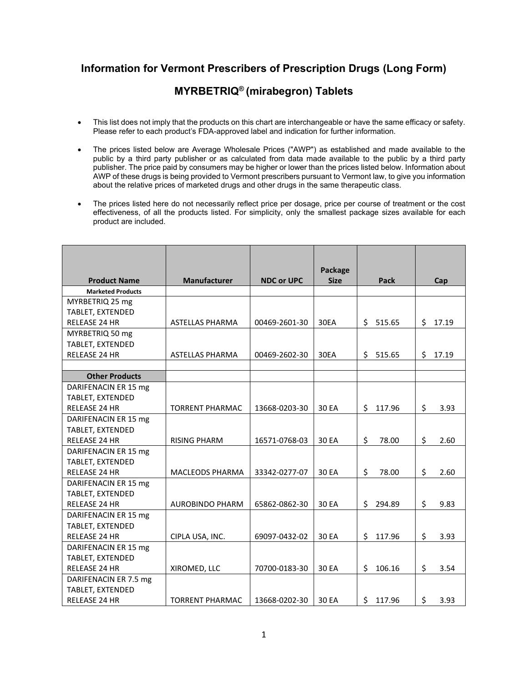## **Information for Vermont Prescribers of Prescription Drugs (Long Form)**

## **MYRBETRIQ® (mirabegron) Tablets**

- This list does not imply that the products on this chart are interchangeable or have the same efficacy or safety. Please refer to each product's FDA-approved label and indication for further information.
- The prices listed below are Average Wholesale Prices ("AWP") as established and made available to the public by a third party publisher or as calculated from data made available to the public by a third party publisher. The price paid by consumers may be higher or lower than the prices listed below. Information about AWP of these drugs is being provided to Vermont prescribers pursuant to Vermont law, to give you information about the relative prices of marketed drugs and other drugs in the same therapeutic class.
- The prices listed here do not necessarily reflect price per dosage, price per course of treatment or the cost effectiveness, of all the products listed. For simplicity, only the smallest package sizes available for each product are included.

| <b>Product Name</b>      | <b>Manufacturer</b>    | <b>NDC or UPC</b> | Package<br><b>Size</b> | Pack          | Cap         |
|--------------------------|------------------------|-------------------|------------------------|---------------|-------------|
| <b>Marketed Products</b> |                        |                   |                        |               |             |
| MYRBETRIQ 25 mg          |                        |                   |                        |               |             |
| TABLET, EXTENDED         |                        |                   |                        |               |             |
| <b>RELEASE 24 HR</b>     | ASTELLAS PHARMA        | 00469-2601-30     | 30EA                   | \$15.65       | \$17.19     |
| MYRBETRIQ 50 mg          |                        |                   |                        |               |             |
| TABLET, EXTENDED         |                        |                   |                        |               |             |
| <b>RELEASE 24 HR</b>     | <b>ASTELLAS PHARMA</b> | 00469-2602-30     | 30EA                   | Ś.<br>515.65  | \$<br>17.19 |
|                          |                        |                   |                        |               |             |
| <b>Other Products</b>    |                        |                   |                        |               |             |
| DARIFENACIN ER 15 mg     |                        |                   |                        |               |             |
| <b>TABLET, EXTENDED</b>  |                        |                   |                        |               |             |
| <b>RELEASE 24 HR</b>     | <b>TORRENT PHARMAC</b> | 13668-0203-30     | 30 EA                  | \$<br>117.96  | \$<br>3.93  |
| DARIFENACIN ER 15 mg     |                        |                   |                        |               |             |
| TABLET, EXTENDED         |                        |                   |                        |               |             |
| <b>RELEASE 24 HR</b>     | <b>RISING PHARM</b>    | 16571-0768-03     | 30 EA                  | \$<br>78.00   | \$<br>2.60  |
| DARIFENACIN ER 15 mg     |                        |                   |                        |               |             |
| TABLET, EXTENDED         |                        |                   |                        |               |             |
| <b>RELEASE 24 HR</b>     | <b>MACLEODS PHARMA</b> | 33342-0277-07     | 30 EA                  | \$<br>78.00   | \$<br>2.60  |
| DARIFENACIN ER 15 mg     |                        |                   |                        |               |             |
| TABLET, EXTENDED         |                        |                   |                        |               |             |
| <b>RELEASE 24 HR</b>     | <b>AUROBINDO PHARM</b> | 65862-0862-30     | 30 EA                  | \$<br>294.89  | \$<br>9.83  |
| DARIFENACIN ER 15 mg     |                        |                   |                        |               |             |
| <b>TABLET, EXTENDED</b>  |                        |                   |                        |               |             |
| RELEASE 24 HR            | CIPLA USA, INC.        | 69097-0432-02     | 30 EA                  | \$<br>117.96  | \$<br>3.93  |
| DARIFENACIN ER 15 mg     |                        |                   |                        |               |             |
| TABLET, EXTENDED         |                        |                   |                        |               |             |
| <b>RELEASE 24 HR</b>     | XIROMED, LLC           | 70700-0183-30     | 30 EA                  | \$<br>106.16  | \$<br>3.54  |
| DARIFENACIN ER 7.5 mg    |                        |                   |                        |               |             |
| TABLET, EXTENDED         |                        |                   |                        |               |             |
| <b>RELEASE 24 HR</b>     | <b>TORRENT PHARMAC</b> | 13668-0202-30     | 30 EA                  | \$.<br>117.96 | \$<br>3.93  |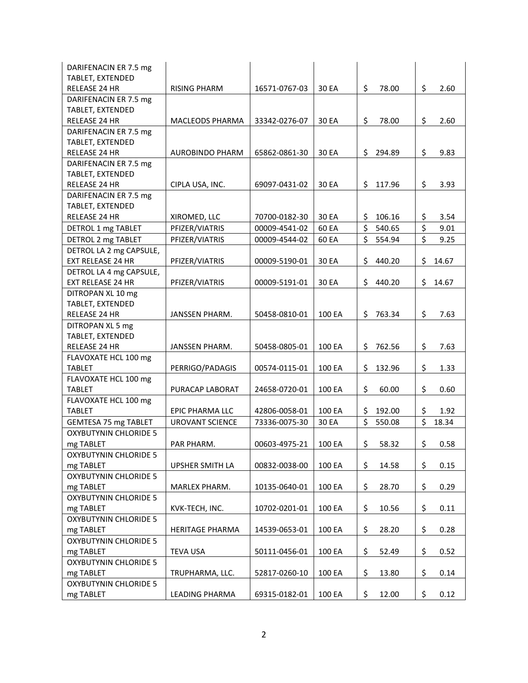| DARIFENACIN ER 7.5 mg        |                        |               |        |              |             |
|------------------------------|------------------------|---------------|--------|--------------|-------------|
| TABLET, EXTENDED             |                        |               |        |              |             |
| RELEASE 24 HR                | <b>RISING PHARM</b>    | 16571-0767-03 | 30 EA  | \$<br>78.00  | \$<br>2.60  |
| DARIFENACIN ER 7.5 mg        |                        |               |        |              |             |
| TABLET, EXTENDED             |                        |               |        |              |             |
| RELEASE 24 HR                | <b>MACLEODS PHARMA</b> | 33342-0276-07 | 30 EA  | \$<br>78.00  | \$<br>2.60  |
| DARIFENACIN ER 7.5 mg        |                        |               |        |              |             |
| TABLET, EXTENDED             |                        |               |        |              |             |
| RELEASE 24 HR                | <b>AUROBINDO PHARM</b> | 65862-0861-30 | 30 EA  | \$<br>294.89 | \$<br>9.83  |
| DARIFENACIN ER 7.5 mg        |                        |               |        |              |             |
| TABLET, EXTENDED             |                        |               |        |              |             |
| <b>RELEASE 24 HR</b>         | CIPLA USA, INC.        | 69097-0431-02 | 30 EA  | \$<br>117.96 | \$<br>3.93  |
| DARIFENACIN ER 7.5 mg        |                        |               |        |              |             |
| TABLET, EXTENDED             |                        |               |        |              |             |
| <b>RELEASE 24 HR</b>         | XIROMED, LLC           | 70700-0182-30 | 30 EA  | \$<br>106.16 | \$<br>3.54  |
| DETROL 1 mg TABLET           | PFIZER/VIATRIS         | 00009-4541-02 | 60 EA  | \$<br>540.65 | \$<br>9.01  |
| DETROL 2 mg TABLET           | PFIZER/VIATRIS         | 00009-4544-02 | 60 EA  | \$<br>554.94 | \$<br>9.25  |
| DETROL LA 2 mg CAPSULE,      |                        |               |        |              |             |
| <b>EXT RELEASE 24 HR</b>     | PFIZER/VIATRIS         | 00009-5190-01 | 30 EA  | \$<br>440.20 | \$<br>14.67 |
| DETROL LA 4 mg CAPSULE,      |                        |               |        |              |             |
| <b>EXT RELEASE 24 HR</b>     | PFIZER/VIATRIS         | 00009-5191-01 | 30 EA  | \$<br>440.20 | \$<br>14.67 |
| DITROPAN XL 10 mg            |                        |               |        |              |             |
| TABLET, EXTENDED             |                        |               |        |              |             |
| RELEASE 24 HR                | <b>JANSSEN PHARM.</b>  | 50458-0810-01 | 100 EA | \$<br>763.34 | \$<br>7.63  |
| DITROPAN XL 5 mg             |                        |               |        |              |             |
| TABLET, EXTENDED             |                        |               |        |              |             |
| RELEASE 24 HR                | <b>JANSSEN PHARM.</b>  | 50458-0805-01 | 100 EA | \$<br>762.56 | \$<br>7.63  |
| FLAVOXATE HCL 100 mg         |                        |               |        |              |             |
| <b>TABLET</b>                | PERRIGO/PADAGIS        | 00574-0115-01 | 100 EA | \$<br>132.96 | \$<br>1.33  |
| FLAVOXATE HCL 100 mg         |                        |               |        |              |             |
| <b>TABLET</b>                | PURACAP LABORAT        | 24658-0720-01 | 100 EA | \$<br>60.00  | \$<br>0.60  |
| FLAVOXATE HCL 100 mg         |                        |               |        |              |             |
| <b>TABLET</b>                | <b>EPIC PHARMA LLC</b> | 42806-0058-01 | 100 EA | \$<br>192.00 | \$<br>1.92  |
| <b>GEMTESA 75 mg TABLET</b>  | UROVANT SCIENCE        | 73336-0075-30 | 30 EA  | \$<br>550.08 | \$<br>18.34 |
| <b>OXYBUTYNIN CHLORIDE 5</b> |                        |               |        |              |             |
| mg TABLET                    | PAR PHARM.             | 00603-4975-21 | 100 EA | \$<br>58.32  | \$<br>0.58  |
| <b>OXYBUTYNIN CHLORIDE 5</b> |                        |               |        |              |             |
| mg TABLET                    | UPSHER SMITH LA        | 00832-0038-00 | 100 EA | \$<br>14.58  | \$<br>0.15  |
| <b>OXYBUTYNIN CHLORIDE 5</b> |                        |               |        |              |             |
| mg TABLET                    | MARLEX PHARM.          | 10135-0640-01 | 100 EA | \$<br>28.70  | \$<br>0.29  |
| <b>OXYBUTYNIN CHLORIDE 5</b> |                        |               |        |              |             |
| mg TABLET                    | KVK-TECH, INC.         | 10702-0201-01 | 100 EA | \$<br>10.56  | \$<br>0.11  |
| <b>OXYBUTYNIN CHLORIDE 5</b> |                        |               |        |              |             |
| mg TABLET                    | HERITAGE PHARMA        | 14539-0653-01 | 100 EA | \$<br>28.20  | \$<br>0.28  |
| <b>OXYBUTYNIN CHLORIDE 5</b> |                        |               |        |              |             |
| mg TABLET                    | <b>TEVA USA</b>        | 50111-0456-01 | 100 EA | \$<br>52.49  | \$<br>0.52  |
| <b>OXYBUTYNIN CHLORIDE 5</b> |                        |               |        |              |             |
| mg TABLET                    | TRUPHARMA, LLC.        | 52817-0260-10 | 100 EA | \$<br>13.80  | \$<br>0.14  |
| <b>OXYBUTYNIN CHLORIDE 5</b> |                        |               |        |              |             |
| mg TABLET                    | LEADING PHARMA         | 69315-0182-01 | 100 EA | \$<br>12.00  | \$<br>0.12  |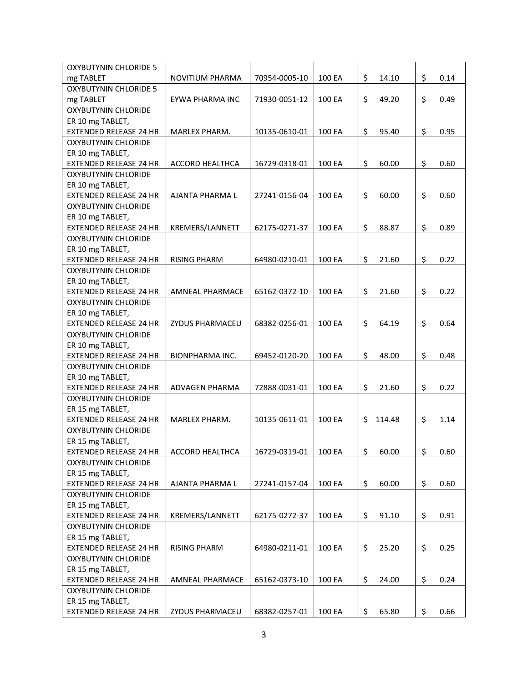| <b>OXYBUTYNIN CHLORIDE 5</b>  |                        |               |        |              |            |
|-------------------------------|------------------------|---------------|--------|--------------|------------|
| mg TABLET                     | <b>NOVITIUM PHARMA</b> | 70954-0005-10 | 100 EA | \$<br>14.10  | \$<br>0.14 |
| <b>OXYBUTYNIN CHLORIDE 5</b>  |                        |               |        |              |            |
| mg TABLET                     | EYWA PHARMA INC        | 71930-0051-12 | 100 EA | \$<br>49.20  | \$<br>0.49 |
| <b>OXYBUTYNIN CHLORIDE</b>    |                        |               |        |              |            |
| ER 10 mg TABLET,              |                        |               |        |              |            |
| <b>EXTENDED RELEASE 24 HR</b> | MARLEX PHARM.          | 10135-0610-01 | 100 EA | \$<br>95.40  | \$<br>0.95 |
| <b>OXYBUTYNIN CHLORIDE</b>    |                        |               |        |              |            |
| ER 10 mg TABLET,              |                        |               |        |              |            |
| <b>EXTENDED RELEASE 24 HR</b> | <b>ACCORD HEALTHCA</b> | 16729-0318-01 | 100 EA | \$<br>60.00  | \$<br>0.60 |
| <b>OXYBUTYNIN CHLORIDE</b>    |                        |               |        |              |            |
| ER 10 mg TABLET,              |                        |               |        |              |            |
| <b>EXTENDED RELEASE 24 HR</b> | AJANTA PHARMA L        | 27241-0156-04 | 100 EA | \$<br>60.00  | \$<br>0.60 |
| <b>OXYBUTYNIN CHLORIDE</b>    |                        |               |        |              |            |
| ER 10 mg TABLET,              |                        |               |        |              |            |
| <b>EXTENDED RELEASE 24 HR</b> | KREMERS/LANNETT        | 62175-0271-37 | 100 EA | \$<br>88.87  | \$<br>0.89 |
| <b>OXYBUTYNIN CHLORIDE</b>    |                        |               |        |              |            |
| ER 10 mg TABLET,              |                        |               |        |              |            |
| <b>EXTENDED RELEASE 24 HR</b> | <b>RISING PHARM</b>    | 64980-0210-01 | 100 EA | \$<br>21.60  | \$<br>0.22 |
| <b>OXYBUTYNIN CHLORIDE</b>    |                        |               |        |              |            |
| ER 10 mg TABLET,              |                        |               |        |              |            |
| <b>EXTENDED RELEASE 24 HR</b> | AMNEAL PHARMACE        | 65162-0372-10 | 100 EA | \$<br>21.60  | \$<br>0.22 |
| <b>OXYBUTYNIN CHLORIDE</b>    |                        |               |        |              |            |
| ER 10 mg TABLET,              |                        |               |        |              |            |
| <b>EXTENDED RELEASE 24 HR</b> | ZYDUS PHARMACEU        | 68382-0256-01 | 100 EA | \$<br>64.19  | \$<br>0.64 |
| OXYBUTYNIN CHLORIDE           |                        |               |        |              |            |
| ER 10 mg TABLET,              |                        |               |        |              |            |
| <b>EXTENDED RELEASE 24 HR</b> | <b>BIONPHARMA INC.</b> | 69452-0120-20 | 100 EA | \$<br>48.00  | \$<br>0.48 |
| <b>OXYBUTYNIN CHLORIDE</b>    |                        |               |        |              |            |
| ER 10 mg TABLET,              |                        |               |        |              |            |
| <b>EXTENDED RELEASE 24 HR</b> | ADVAGEN PHARMA         | 72888-0031-01 | 100 EA | \$<br>21.60  | \$<br>0.22 |
| <b>OXYBUTYNIN CHLORIDE</b>    |                        |               |        |              |            |
| ER 15 mg TABLET,              |                        |               |        |              |            |
| <b>EXTENDED RELEASE 24 HR</b> | MARLEX PHARM.          | 10135-0611-01 | 100 EA | \$<br>114.48 | \$<br>1.14 |
| <b>OXYBUTYNIN CHLORIDE</b>    |                        |               |        |              |            |
| ER 15 mg TABLET,              |                        |               |        |              |            |
| <b>EXTENDED RELEASE 24 HR</b> | ACCORD HEALTHCA        | 16729-0319-01 | 100 EA | \$<br>60.00  | \$<br>0.60 |
| <b>OXYBUTYNIN CHLORIDE</b>    |                        |               |        |              |            |
| ER 15 mg TABLET,              |                        |               |        |              |            |
| <b>EXTENDED RELEASE 24 HR</b> | AJANTA PHARMA L        | 27241-0157-04 | 100 EA | \$<br>60.00  | \$<br>0.60 |
| <b>OXYBUTYNIN CHLORIDE</b>    |                        |               |        |              |            |
| ER 15 mg TABLET,              |                        |               |        |              |            |
| <b>EXTENDED RELEASE 24 HR</b> | KREMERS/LANNETT        | 62175-0272-37 | 100 EA | \$<br>91.10  | \$<br>0.91 |
| OXYBUTYNIN CHLORIDE           |                        |               |        |              |            |
| ER 15 mg TABLET,              |                        |               |        |              |            |
| <b>EXTENDED RELEASE 24 HR</b> | <b>RISING PHARM</b>    | 64980-0211-01 | 100 EA | \$<br>25.20  | \$<br>0.25 |
| <b>OXYBUTYNIN CHLORIDE</b>    |                        |               |        |              |            |
| ER 15 mg TABLET,              |                        |               |        |              |            |
| <b>EXTENDED RELEASE 24 HR</b> | AMNEAL PHARMACE        | 65162-0373-10 | 100 EA | \$<br>24.00  | \$<br>0.24 |
| OXYBUTYNIN CHLORIDE           |                        |               |        |              |            |
| ER 15 mg TABLET,              |                        |               |        |              |            |
| EXTENDED RELEASE 24 HR        | ZYDUS PHARMACEU        | 68382-0257-01 | 100 EA | \$<br>65.80  | \$<br>0.66 |
|                               |                        |               |        |              |            |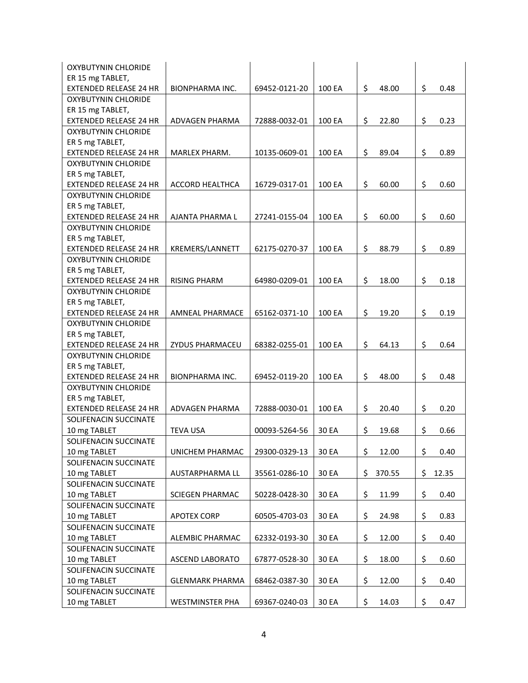| ER 15 mg TABLET,<br>\$<br>\$<br>48.00<br><b>EXTENDED RELEASE 24 HR</b><br><b>BIONPHARMA INC.</b><br>69452-0121-20<br>100 EA<br>0.48<br>OXYBUTYNIN CHLORIDE<br>ER 15 mg TABLET,<br>\$<br>\$<br><b>EXTENDED RELEASE 24 HR</b><br><b>ADVAGEN PHARMA</b><br>72888-0032-01<br>100 EA<br>22.80<br>0.23<br><b>OXYBUTYNIN CHLORIDE</b><br>ER 5 mg TABLET,<br>\$<br>\$<br>0.89<br><b>EXTENDED RELEASE 24 HR</b><br>MARLEX PHARM.<br>10135-0609-01<br>100 EA<br>89.04<br>OXYBUTYNIN CHLORIDE<br>ER 5 mg TABLET,<br>\$<br>\$<br><b>EXTENDED RELEASE 24 HR</b><br><b>ACCORD HEALTHCA</b><br>16729-0317-01<br>100 EA<br>60.00<br>0.60<br><b>OXYBUTYNIN CHLORIDE</b><br>ER 5 mg TABLET,<br>\$<br>\$<br><b>EXTENDED RELEASE 24 HR</b><br>60.00<br>0.60<br>AJANTA PHARMA L<br>27241-0155-04<br>100 EA<br><b>OXYBUTYNIN CHLORIDE</b><br>ER 5 mg TABLET,<br>\$<br>\$<br>0.89<br><b>EXTENDED RELEASE 24 HR</b><br>KREMERS/LANNETT<br>62175-0270-37<br>100 EA<br>88.79<br>OXYBUTYNIN CHLORIDE<br>ER 5 mg TABLET,<br>\$<br>\$<br><b>RISING PHARM</b><br><b>EXTENDED RELEASE 24 HR</b><br>64980-0209-01<br>100 EA<br>18.00<br>0.18<br><b>OXYBUTYNIN CHLORIDE</b><br>ER 5 mg TABLET,<br>\$<br>\$<br>AMNEAL PHARMACE<br>65162-0371-10<br>100 EA<br>19.20<br>0.19<br><b>EXTENDED RELEASE 24 HR</b><br><b>OXYBUTYNIN CHLORIDE</b><br>ER 5 mg TABLET,<br>\$<br>\$<br>ZYDUS PHARMACEU<br>68382-0255-01<br>100 EA<br>0.64<br><b>EXTENDED RELEASE 24 HR</b><br>64.13<br><b>OXYBUTYNIN CHLORIDE</b><br>ER 5 mg TABLET,<br>\$<br>\$<br><b>EXTENDED RELEASE 24 HR</b><br>BIONPHARMA INC.<br>69452-0119-20<br>100 EA<br>48.00<br>0.48<br><b>OXYBUTYNIN CHLORIDE</b><br>ER 5 mg TABLET,<br>\$<br>\$<br>EXTENDED RELEASE 24 HR<br>ADVAGEN PHARMA<br>72888-0030-01<br>100 EA<br>20.40<br>0.20<br>SOLIFENACIN SUCCINATE<br>\$<br>\$<br>10 mg TABLET<br><b>TEVA USA</b><br>00093-5264-56<br>30 EA<br>19.68<br>0.66<br>SOLIFENACIN SUCCINATE<br>\$<br>\$<br>UNICHEM PHARMAC<br>29300-0329-13<br>12.00<br>0.40<br>10 mg TABLET<br>30 EA<br>SOLIFENACIN SUCCINATE<br>\$<br>30 EA<br>370.55<br>\$<br>12.35<br>10 mg TABLET<br>AUSTARPHARMA LL<br>35561-0286-10<br>SOLIFENACIN SUCCINATE<br>\$<br>\$<br>30 EA<br>11.99<br>0.40<br>10 mg TABLET<br><b>SCIEGEN PHARMAC</b><br>50228-0428-30<br>SOLIFENACIN SUCCINATE<br>\$<br>\$<br>0.83<br>10 mg TABLET<br><b>APOTEX CORP</b><br>60505-4703-03<br>30 EA<br>24.98<br>SOLIFENACIN SUCCINATE<br>\$<br>\$<br>0.40<br>10 mg TABLET<br>ALEMBIC PHARMAC<br>62332-0193-30<br>30 EA<br>12.00<br>SOLIFENACIN SUCCINATE<br>\$<br>\$<br>10 mg TABLET<br>ASCEND LABORATO<br>67877-0528-30<br>30 EA<br>18.00<br>0.60<br>SOLIFENACIN SUCCINATE<br>\$<br>\$<br>10 mg TABLET<br>12.00<br>0.40<br><b>GLENMARK PHARMA</b><br>68462-0387-30<br>30 EA<br>SOLIFENACIN SUCCINATE | OXYBUTYNIN CHLORIDE |                        |               |       |             |            |
|--------------------------------------------------------------------------------------------------------------------------------------------------------------------------------------------------------------------------------------------------------------------------------------------------------------------------------------------------------------------------------------------------------------------------------------------------------------------------------------------------------------------------------------------------------------------------------------------------------------------------------------------------------------------------------------------------------------------------------------------------------------------------------------------------------------------------------------------------------------------------------------------------------------------------------------------------------------------------------------------------------------------------------------------------------------------------------------------------------------------------------------------------------------------------------------------------------------------------------------------------------------------------------------------------------------------------------------------------------------------------------------------------------------------------------------------------------------------------------------------------------------------------------------------------------------------------------------------------------------------------------------------------------------------------------------------------------------------------------------------------------------------------------------------------------------------------------------------------------------------------------------------------------------------------------------------------------------------------------------------------------------------------------------------------------------------------------------------------------------------------------------------------------------------------------------------------------------------------------------------------------------------------------------------------------------------------------------------------------------------------------------------------------------------------------------------------------------------------------------------------------------------------------------------------------------------------------------------------------------------------------------------------------------------------------------------------------------------------------------------------------------|---------------------|------------------------|---------------|-------|-------------|------------|
|                                                                                                                                                                                                                                                                                                                                                                                                                                                                                                                                                                                                                                                                                                                                                                                                                                                                                                                                                                                                                                                                                                                                                                                                                                                                                                                                                                                                                                                                                                                                                                                                                                                                                                                                                                                                                                                                                                                                                                                                                                                                                                                                                                                                                                                                                                                                                                                                                                                                                                                                                                                                                                                                                                                                                              |                     |                        |               |       |             |            |
|                                                                                                                                                                                                                                                                                                                                                                                                                                                                                                                                                                                                                                                                                                                                                                                                                                                                                                                                                                                                                                                                                                                                                                                                                                                                                                                                                                                                                                                                                                                                                                                                                                                                                                                                                                                                                                                                                                                                                                                                                                                                                                                                                                                                                                                                                                                                                                                                                                                                                                                                                                                                                                                                                                                                                              |                     |                        |               |       |             |            |
|                                                                                                                                                                                                                                                                                                                                                                                                                                                                                                                                                                                                                                                                                                                                                                                                                                                                                                                                                                                                                                                                                                                                                                                                                                                                                                                                                                                                                                                                                                                                                                                                                                                                                                                                                                                                                                                                                                                                                                                                                                                                                                                                                                                                                                                                                                                                                                                                                                                                                                                                                                                                                                                                                                                                                              |                     |                        |               |       |             |            |
|                                                                                                                                                                                                                                                                                                                                                                                                                                                                                                                                                                                                                                                                                                                                                                                                                                                                                                                                                                                                                                                                                                                                                                                                                                                                                                                                                                                                                                                                                                                                                                                                                                                                                                                                                                                                                                                                                                                                                                                                                                                                                                                                                                                                                                                                                                                                                                                                                                                                                                                                                                                                                                                                                                                                                              |                     |                        |               |       |             |            |
|                                                                                                                                                                                                                                                                                                                                                                                                                                                                                                                                                                                                                                                                                                                                                                                                                                                                                                                                                                                                                                                                                                                                                                                                                                                                                                                                                                                                                                                                                                                                                                                                                                                                                                                                                                                                                                                                                                                                                                                                                                                                                                                                                                                                                                                                                                                                                                                                                                                                                                                                                                                                                                                                                                                                                              |                     |                        |               |       |             |            |
|                                                                                                                                                                                                                                                                                                                                                                                                                                                                                                                                                                                                                                                                                                                                                                                                                                                                                                                                                                                                                                                                                                                                                                                                                                                                                                                                                                                                                                                                                                                                                                                                                                                                                                                                                                                                                                                                                                                                                                                                                                                                                                                                                                                                                                                                                                                                                                                                                                                                                                                                                                                                                                                                                                                                                              |                     |                        |               |       |             |            |
|                                                                                                                                                                                                                                                                                                                                                                                                                                                                                                                                                                                                                                                                                                                                                                                                                                                                                                                                                                                                                                                                                                                                                                                                                                                                                                                                                                                                                                                                                                                                                                                                                                                                                                                                                                                                                                                                                                                                                                                                                                                                                                                                                                                                                                                                                                                                                                                                                                                                                                                                                                                                                                                                                                                                                              |                     |                        |               |       |             |            |
|                                                                                                                                                                                                                                                                                                                                                                                                                                                                                                                                                                                                                                                                                                                                                                                                                                                                                                                                                                                                                                                                                                                                                                                                                                                                                                                                                                                                                                                                                                                                                                                                                                                                                                                                                                                                                                                                                                                                                                                                                                                                                                                                                                                                                                                                                                                                                                                                                                                                                                                                                                                                                                                                                                                                                              |                     |                        |               |       |             |            |
|                                                                                                                                                                                                                                                                                                                                                                                                                                                                                                                                                                                                                                                                                                                                                                                                                                                                                                                                                                                                                                                                                                                                                                                                                                                                                                                                                                                                                                                                                                                                                                                                                                                                                                                                                                                                                                                                                                                                                                                                                                                                                                                                                                                                                                                                                                                                                                                                                                                                                                                                                                                                                                                                                                                                                              |                     |                        |               |       |             |            |
|                                                                                                                                                                                                                                                                                                                                                                                                                                                                                                                                                                                                                                                                                                                                                                                                                                                                                                                                                                                                                                                                                                                                                                                                                                                                                                                                                                                                                                                                                                                                                                                                                                                                                                                                                                                                                                                                                                                                                                                                                                                                                                                                                                                                                                                                                                                                                                                                                                                                                                                                                                                                                                                                                                                                                              |                     |                        |               |       |             |            |
|                                                                                                                                                                                                                                                                                                                                                                                                                                                                                                                                                                                                                                                                                                                                                                                                                                                                                                                                                                                                                                                                                                                                                                                                                                                                                                                                                                                                                                                                                                                                                                                                                                                                                                                                                                                                                                                                                                                                                                                                                                                                                                                                                                                                                                                                                                                                                                                                                                                                                                                                                                                                                                                                                                                                                              |                     |                        |               |       |             |            |
|                                                                                                                                                                                                                                                                                                                                                                                                                                                                                                                                                                                                                                                                                                                                                                                                                                                                                                                                                                                                                                                                                                                                                                                                                                                                                                                                                                                                                                                                                                                                                                                                                                                                                                                                                                                                                                                                                                                                                                                                                                                                                                                                                                                                                                                                                                                                                                                                                                                                                                                                                                                                                                                                                                                                                              |                     |                        |               |       |             |            |
|                                                                                                                                                                                                                                                                                                                                                                                                                                                                                                                                                                                                                                                                                                                                                                                                                                                                                                                                                                                                                                                                                                                                                                                                                                                                                                                                                                                                                                                                                                                                                                                                                                                                                                                                                                                                                                                                                                                                                                                                                                                                                                                                                                                                                                                                                                                                                                                                                                                                                                                                                                                                                                                                                                                                                              |                     |                        |               |       |             |            |
|                                                                                                                                                                                                                                                                                                                                                                                                                                                                                                                                                                                                                                                                                                                                                                                                                                                                                                                                                                                                                                                                                                                                                                                                                                                                                                                                                                                                                                                                                                                                                                                                                                                                                                                                                                                                                                                                                                                                                                                                                                                                                                                                                                                                                                                                                                                                                                                                                                                                                                                                                                                                                                                                                                                                                              |                     |                        |               |       |             |            |
|                                                                                                                                                                                                                                                                                                                                                                                                                                                                                                                                                                                                                                                                                                                                                                                                                                                                                                                                                                                                                                                                                                                                                                                                                                                                                                                                                                                                                                                                                                                                                                                                                                                                                                                                                                                                                                                                                                                                                                                                                                                                                                                                                                                                                                                                                                                                                                                                                                                                                                                                                                                                                                                                                                                                                              |                     |                        |               |       |             |            |
|                                                                                                                                                                                                                                                                                                                                                                                                                                                                                                                                                                                                                                                                                                                                                                                                                                                                                                                                                                                                                                                                                                                                                                                                                                                                                                                                                                                                                                                                                                                                                                                                                                                                                                                                                                                                                                                                                                                                                                                                                                                                                                                                                                                                                                                                                                                                                                                                                                                                                                                                                                                                                                                                                                                                                              |                     |                        |               |       |             |            |
|                                                                                                                                                                                                                                                                                                                                                                                                                                                                                                                                                                                                                                                                                                                                                                                                                                                                                                                                                                                                                                                                                                                                                                                                                                                                                                                                                                                                                                                                                                                                                                                                                                                                                                                                                                                                                                                                                                                                                                                                                                                                                                                                                                                                                                                                                                                                                                                                                                                                                                                                                                                                                                                                                                                                                              |                     |                        |               |       |             |            |
|                                                                                                                                                                                                                                                                                                                                                                                                                                                                                                                                                                                                                                                                                                                                                                                                                                                                                                                                                                                                                                                                                                                                                                                                                                                                                                                                                                                                                                                                                                                                                                                                                                                                                                                                                                                                                                                                                                                                                                                                                                                                                                                                                                                                                                                                                                                                                                                                                                                                                                                                                                                                                                                                                                                                                              |                     |                        |               |       |             |            |
|                                                                                                                                                                                                                                                                                                                                                                                                                                                                                                                                                                                                                                                                                                                                                                                                                                                                                                                                                                                                                                                                                                                                                                                                                                                                                                                                                                                                                                                                                                                                                                                                                                                                                                                                                                                                                                                                                                                                                                                                                                                                                                                                                                                                                                                                                                                                                                                                                                                                                                                                                                                                                                                                                                                                                              |                     |                        |               |       |             |            |
|                                                                                                                                                                                                                                                                                                                                                                                                                                                                                                                                                                                                                                                                                                                                                                                                                                                                                                                                                                                                                                                                                                                                                                                                                                                                                                                                                                                                                                                                                                                                                                                                                                                                                                                                                                                                                                                                                                                                                                                                                                                                                                                                                                                                                                                                                                                                                                                                                                                                                                                                                                                                                                                                                                                                                              |                     |                        |               |       |             |            |
|                                                                                                                                                                                                                                                                                                                                                                                                                                                                                                                                                                                                                                                                                                                                                                                                                                                                                                                                                                                                                                                                                                                                                                                                                                                                                                                                                                                                                                                                                                                                                                                                                                                                                                                                                                                                                                                                                                                                                                                                                                                                                                                                                                                                                                                                                                                                                                                                                                                                                                                                                                                                                                                                                                                                                              |                     |                        |               |       |             |            |
|                                                                                                                                                                                                                                                                                                                                                                                                                                                                                                                                                                                                                                                                                                                                                                                                                                                                                                                                                                                                                                                                                                                                                                                                                                                                                                                                                                                                                                                                                                                                                                                                                                                                                                                                                                                                                                                                                                                                                                                                                                                                                                                                                                                                                                                                                                                                                                                                                                                                                                                                                                                                                                                                                                                                                              |                     |                        |               |       |             |            |
|                                                                                                                                                                                                                                                                                                                                                                                                                                                                                                                                                                                                                                                                                                                                                                                                                                                                                                                                                                                                                                                                                                                                                                                                                                                                                                                                                                                                                                                                                                                                                                                                                                                                                                                                                                                                                                                                                                                                                                                                                                                                                                                                                                                                                                                                                                                                                                                                                                                                                                                                                                                                                                                                                                                                                              |                     |                        |               |       |             |            |
|                                                                                                                                                                                                                                                                                                                                                                                                                                                                                                                                                                                                                                                                                                                                                                                                                                                                                                                                                                                                                                                                                                                                                                                                                                                                                                                                                                                                                                                                                                                                                                                                                                                                                                                                                                                                                                                                                                                                                                                                                                                                                                                                                                                                                                                                                                                                                                                                                                                                                                                                                                                                                                                                                                                                                              |                     |                        |               |       |             |            |
|                                                                                                                                                                                                                                                                                                                                                                                                                                                                                                                                                                                                                                                                                                                                                                                                                                                                                                                                                                                                                                                                                                                                                                                                                                                                                                                                                                                                                                                                                                                                                                                                                                                                                                                                                                                                                                                                                                                                                                                                                                                                                                                                                                                                                                                                                                                                                                                                                                                                                                                                                                                                                                                                                                                                                              |                     |                        |               |       |             |            |
|                                                                                                                                                                                                                                                                                                                                                                                                                                                                                                                                                                                                                                                                                                                                                                                                                                                                                                                                                                                                                                                                                                                                                                                                                                                                                                                                                                                                                                                                                                                                                                                                                                                                                                                                                                                                                                                                                                                                                                                                                                                                                                                                                                                                                                                                                                                                                                                                                                                                                                                                                                                                                                                                                                                                                              |                     |                        |               |       |             |            |
|                                                                                                                                                                                                                                                                                                                                                                                                                                                                                                                                                                                                                                                                                                                                                                                                                                                                                                                                                                                                                                                                                                                                                                                                                                                                                                                                                                                                                                                                                                                                                                                                                                                                                                                                                                                                                                                                                                                                                                                                                                                                                                                                                                                                                                                                                                                                                                                                                                                                                                                                                                                                                                                                                                                                                              |                     |                        |               |       |             |            |
|                                                                                                                                                                                                                                                                                                                                                                                                                                                                                                                                                                                                                                                                                                                                                                                                                                                                                                                                                                                                                                                                                                                                                                                                                                                                                                                                                                                                                                                                                                                                                                                                                                                                                                                                                                                                                                                                                                                                                                                                                                                                                                                                                                                                                                                                                                                                                                                                                                                                                                                                                                                                                                                                                                                                                              |                     |                        |               |       |             |            |
|                                                                                                                                                                                                                                                                                                                                                                                                                                                                                                                                                                                                                                                                                                                                                                                                                                                                                                                                                                                                                                                                                                                                                                                                                                                                                                                                                                                                                                                                                                                                                                                                                                                                                                                                                                                                                                                                                                                                                                                                                                                                                                                                                                                                                                                                                                                                                                                                                                                                                                                                                                                                                                                                                                                                                              |                     |                        |               |       |             |            |
|                                                                                                                                                                                                                                                                                                                                                                                                                                                                                                                                                                                                                                                                                                                                                                                                                                                                                                                                                                                                                                                                                                                                                                                                                                                                                                                                                                                                                                                                                                                                                                                                                                                                                                                                                                                                                                                                                                                                                                                                                                                                                                                                                                                                                                                                                                                                                                                                                                                                                                                                                                                                                                                                                                                                                              |                     |                        |               |       |             |            |
|                                                                                                                                                                                                                                                                                                                                                                                                                                                                                                                                                                                                                                                                                                                                                                                                                                                                                                                                                                                                                                                                                                                                                                                                                                                                                                                                                                                                                                                                                                                                                                                                                                                                                                                                                                                                                                                                                                                                                                                                                                                                                                                                                                                                                                                                                                                                                                                                                                                                                                                                                                                                                                                                                                                                                              |                     |                        |               |       |             |            |
|                                                                                                                                                                                                                                                                                                                                                                                                                                                                                                                                                                                                                                                                                                                                                                                                                                                                                                                                                                                                                                                                                                                                                                                                                                                                                                                                                                                                                                                                                                                                                                                                                                                                                                                                                                                                                                                                                                                                                                                                                                                                                                                                                                                                                                                                                                                                                                                                                                                                                                                                                                                                                                                                                                                                                              |                     |                        |               |       |             |            |
|                                                                                                                                                                                                                                                                                                                                                                                                                                                                                                                                                                                                                                                                                                                                                                                                                                                                                                                                                                                                                                                                                                                                                                                                                                                                                                                                                                                                                                                                                                                                                                                                                                                                                                                                                                                                                                                                                                                                                                                                                                                                                                                                                                                                                                                                                                                                                                                                                                                                                                                                                                                                                                                                                                                                                              |                     |                        |               |       |             |            |
|                                                                                                                                                                                                                                                                                                                                                                                                                                                                                                                                                                                                                                                                                                                                                                                                                                                                                                                                                                                                                                                                                                                                                                                                                                                                                                                                                                                                                                                                                                                                                                                                                                                                                                                                                                                                                                                                                                                                                                                                                                                                                                                                                                                                                                                                                                                                                                                                                                                                                                                                                                                                                                                                                                                                                              |                     |                        |               |       |             |            |
|                                                                                                                                                                                                                                                                                                                                                                                                                                                                                                                                                                                                                                                                                                                                                                                                                                                                                                                                                                                                                                                                                                                                                                                                                                                                                                                                                                                                                                                                                                                                                                                                                                                                                                                                                                                                                                                                                                                                                                                                                                                                                                                                                                                                                                                                                                                                                                                                                                                                                                                                                                                                                                                                                                                                                              |                     |                        |               |       |             |            |
|                                                                                                                                                                                                                                                                                                                                                                                                                                                                                                                                                                                                                                                                                                                                                                                                                                                                                                                                                                                                                                                                                                                                                                                                                                                                                                                                                                                                                                                                                                                                                                                                                                                                                                                                                                                                                                                                                                                                                                                                                                                                                                                                                                                                                                                                                                                                                                                                                                                                                                                                                                                                                                                                                                                                                              |                     |                        |               |       |             |            |
|                                                                                                                                                                                                                                                                                                                                                                                                                                                                                                                                                                                                                                                                                                                                                                                                                                                                                                                                                                                                                                                                                                                                                                                                                                                                                                                                                                                                                                                                                                                                                                                                                                                                                                                                                                                                                                                                                                                                                                                                                                                                                                                                                                                                                                                                                                                                                                                                                                                                                                                                                                                                                                                                                                                                                              |                     |                        |               |       |             |            |
|                                                                                                                                                                                                                                                                                                                                                                                                                                                                                                                                                                                                                                                                                                                                                                                                                                                                                                                                                                                                                                                                                                                                                                                                                                                                                                                                                                                                                                                                                                                                                                                                                                                                                                                                                                                                                                                                                                                                                                                                                                                                                                                                                                                                                                                                                                                                                                                                                                                                                                                                                                                                                                                                                                                                                              |                     |                        |               |       |             |            |
|                                                                                                                                                                                                                                                                                                                                                                                                                                                                                                                                                                                                                                                                                                                                                                                                                                                                                                                                                                                                                                                                                                                                                                                                                                                                                                                                                                                                                                                                                                                                                                                                                                                                                                                                                                                                                                                                                                                                                                                                                                                                                                                                                                                                                                                                                                                                                                                                                                                                                                                                                                                                                                                                                                                                                              |                     |                        |               |       |             |            |
|                                                                                                                                                                                                                                                                                                                                                                                                                                                                                                                                                                                                                                                                                                                                                                                                                                                                                                                                                                                                                                                                                                                                                                                                                                                                                                                                                                                                                                                                                                                                                                                                                                                                                                                                                                                                                                                                                                                                                                                                                                                                                                                                                                                                                                                                                                                                                                                                                                                                                                                                                                                                                                                                                                                                                              |                     |                        |               |       |             |            |
|                                                                                                                                                                                                                                                                                                                                                                                                                                                                                                                                                                                                                                                                                                                                                                                                                                                                                                                                                                                                                                                                                                                                                                                                                                                                                                                                                                                                                                                                                                                                                                                                                                                                                                                                                                                                                                                                                                                                                                                                                                                                                                                                                                                                                                                                                                                                                                                                                                                                                                                                                                                                                                                                                                                                                              |                     |                        |               |       |             |            |
|                                                                                                                                                                                                                                                                                                                                                                                                                                                                                                                                                                                                                                                                                                                                                                                                                                                                                                                                                                                                                                                                                                                                                                                                                                                                                                                                                                                                                                                                                                                                                                                                                                                                                                                                                                                                                                                                                                                                                                                                                                                                                                                                                                                                                                                                                                                                                                                                                                                                                                                                                                                                                                                                                                                                                              |                     |                        |               |       |             |            |
|                                                                                                                                                                                                                                                                                                                                                                                                                                                                                                                                                                                                                                                                                                                                                                                                                                                                                                                                                                                                                                                                                                                                                                                                                                                                                                                                                                                                                                                                                                                                                                                                                                                                                                                                                                                                                                                                                                                                                                                                                                                                                                                                                                                                                                                                                                                                                                                                                                                                                                                                                                                                                                                                                                                                                              |                     |                        |               |       |             |            |
|                                                                                                                                                                                                                                                                                                                                                                                                                                                                                                                                                                                                                                                                                                                                                                                                                                                                                                                                                                                                                                                                                                                                                                                                                                                                                                                                                                                                                                                                                                                                                                                                                                                                                                                                                                                                                                                                                                                                                                                                                                                                                                                                                                                                                                                                                                                                                                                                                                                                                                                                                                                                                                                                                                                                                              |                     |                        |               |       |             |            |
|                                                                                                                                                                                                                                                                                                                                                                                                                                                                                                                                                                                                                                                                                                                                                                                                                                                                                                                                                                                                                                                                                                                                                                                                                                                                                                                                                                                                                                                                                                                                                                                                                                                                                                                                                                                                                                                                                                                                                                                                                                                                                                                                                                                                                                                                                                                                                                                                                                                                                                                                                                                                                                                                                                                                                              |                     |                        |               |       |             |            |
|                                                                                                                                                                                                                                                                                                                                                                                                                                                                                                                                                                                                                                                                                                                                                                                                                                                                                                                                                                                                                                                                                                                                                                                                                                                                                                                                                                                                                                                                                                                                                                                                                                                                                                                                                                                                                                                                                                                                                                                                                                                                                                                                                                                                                                                                                                                                                                                                                                                                                                                                                                                                                                                                                                                                                              |                     |                        |               |       |             |            |
|                                                                                                                                                                                                                                                                                                                                                                                                                                                                                                                                                                                                                                                                                                                                                                                                                                                                                                                                                                                                                                                                                                                                                                                                                                                                                                                                                                                                                                                                                                                                                                                                                                                                                                                                                                                                                                                                                                                                                                                                                                                                                                                                                                                                                                                                                                                                                                                                                                                                                                                                                                                                                                                                                                                                                              |                     |                        |               |       |             |            |
|                                                                                                                                                                                                                                                                                                                                                                                                                                                                                                                                                                                                                                                                                                                                                                                                                                                                                                                                                                                                                                                                                                                                                                                                                                                                                                                                                                                                                                                                                                                                                                                                                                                                                                                                                                                                                                                                                                                                                                                                                                                                                                                                                                                                                                                                                                                                                                                                                                                                                                                                                                                                                                                                                                                                                              |                     |                        |               |       |             |            |
|                                                                                                                                                                                                                                                                                                                                                                                                                                                                                                                                                                                                                                                                                                                                                                                                                                                                                                                                                                                                                                                                                                                                                                                                                                                                                                                                                                                                                                                                                                                                                                                                                                                                                                                                                                                                                                                                                                                                                                                                                                                                                                                                                                                                                                                                                                                                                                                                                                                                                                                                                                                                                                                                                                                                                              |                     |                        |               |       |             |            |
|                                                                                                                                                                                                                                                                                                                                                                                                                                                                                                                                                                                                                                                                                                                                                                                                                                                                                                                                                                                                                                                                                                                                                                                                                                                                                                                                                                                                                                                                                                                                                                                                                                                                                                                                                                                                                                                                                                                                                                                                                                                                                                                                                                                                                                                                                                                                                                                                                                                                                                                                                                                                                                                                                                                                                              | 10 mg TABLET        | <b>WESTMINSTER PHA</b> | 69367-0240-03 | 30 EA | \$<br>14.03 | \$<br>0.47 |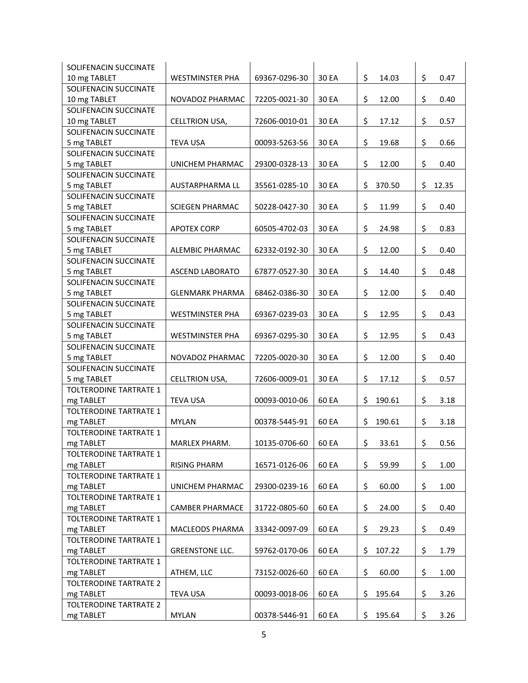| SOLIFENACIN SUCCINATE         |                        |               |       |              |             |
|-------------------------------|------------------------|---------------|-------|--------------|-------------|
| 10 mg TABLET                  | <b>WESTMINSTER PHA</b> | 69367-0296-30 | 30 EA | \$<br>14.03  | \$<br>0.47  |
| SOLIFENACIN SUCCINATE         |                        |               |       |              |             |
| 10 mg TABLET                  | NOVADOZ PHARMAC        | 72205-0021-30 | 30 EA | \$<br>12.00  | \$<br>0.40  |
| SOLIFENACIN SUCCINATE         |                        |               |       |              |             |
| 10 mg TABLET                  | CELLTRION USA,         | 72606-0010-01 | 30 EA | \$<br>17.12  | \$<br>0.57  |
| SOLIFENACIN SUCCINATE         |                        |               |       |              |             |
| 5 mg TABLET                   | <b>TEVA USA</b>        | 00093-5263-56 | 30 EA | \$<br>19.68  | \$<br>0.66  |
| SOLIFENACIN SUCCINATE         |                        |               |       |              |             |
| 5 mg TABLET                   | UNICHEM PHARMAC        | 29300-0328-13 | 30 EA | \$<br>12.00  | \$<br>0.40  |
| SOLIFENACIN SUCCINATE         |                        |               |       |              |             |
| 5 mg TABLET                   | AUSTARPHARMA LL        | 35561-0285-10 | 30 EA | \$<br>370.50 | \$<br>12.35 |
| SOLIFENACIN SUCCINATE         |                        |               |       |              |             |
| 5 mg TABLET                   | <b>SCIEGEN PHARMAC</b> | 50228-0427-30 | 30 EA | \$<br>11.99  | \$<br>0.40  |
| SOLIFENACIN SUCCINATE         |                        |               |       |              |             |
| 5 mg TABLET                   | <b>APOTEX CORP</b>     | 60505-4702-03 | 30 EA | \$<br>24.98  | \$<br>0.83  |
| SOLIFENACIN SUCCINATE         |                        |               |       |              |             |
| 5 mg TABLET                   | ALEMBIC PHARMAC        | 62332-0192-30 | 30 EA | \$<br>12.00  | \$<br>0.40  |
| SOLIFENACIN SUCCINATE         |                        |               |       |              |             |
| 5 mg TABLET                   | <b>ASCEND LABORATO</b> | 67877-0527-30 | 30 EA | \$<br>14.40  | \$<br>0.48  |
| SOLIFENACIN SUCCINATE         |                        |               |       |              |             |
| 5 mg TABLET                   | <b>GLENMARK PHARMA</b> | 68462-0386-30 | 30 EA | \$<br>12.00  | \$<br>0.40  |
| SOLIFENACIN SUCCINATE         |                        |               |       |              |             |
| 5 mg TABLET                   | <b>WESTMINSTER PHA</b> | 69367-0239-03 | 30 EA | \$<br>12.95  | \$<br>0.43  |
| SOLIFENACIN SUCCINATE         |                        |               |       |              |             |
| 5 mg TABLET                   | <b>WESTMINSTER PHA</b> | 69367-0295-30 | 30 EA | \$<br>12.95  | \$<br>0.43  |
| SOLIFENACIN SUCCINATE         |                        |               |       |              |             |
| 5 mg TABLET                   | NOVADOZ PHARMAC        | 72205-0020-30 | 30 EA | \$<br>12.00  | \$<br>0.40  |
| SOLIFENACIN SUCCINATE         |                        |               |       |              |             |
| 5 mg TABLET                   | CELLTRION USA,         | 72606-0009-01 | 30 EA | \$<br>17.12  | \$<br>0.57  |
| TOLTERODINE TARTRATE 1        |                        |               |       |              |             |
| mg TABLET                     | <b>TEVA USA</b>        | 00093-0010-06 | 60 EA | \$<br>190.61 | \$<br>3.18  |
| <b>TOLTERODINE TARTRATE 1</b> |                        |               |       |              |             |
| mg TABLET                     | <b>MYLAN</b>           | 00378-5445-91 | 60 EA | \$<br>190.61 | \$<br>3.18  |
| TOLTERODINE TARTRATE 1        |                        |               |       |              |             |
| mg TABLET                     | MARLEX PHARM.          | 10135-0706-60 | 60 EA | \$<br>33.61  | \$<br>0.56  |
| TOLTERODINE TARTRATE 1        |                        |               |       |              |             |
| mg TABLET                     | <b>RISING PHARM</b>    | 16571-0126-06 | 60 EA | \$<br>59.99  | \$<br>1.00  |
| TOLTERODINE TARTRATE 1        |                        |               |       |              |             |
| mg TABLET                     | UNICHEM PHARMAC        | 29300-0239-16 | 60 EA | \$<br>60.00  | \$<br>1.00  |
| TOLTERODINE TARTRATE 1        |                        |               |       |              |             |
| mg TABLET                     | <b>CAMBER PHARMACE</b> | 31722-0805-60 | 60 EA | \$<br>24.00  | \$<br>0.40  |
| <b>TOLTERODINE TARTRATE 1</b> |                        |               |       |              |             |
| mg TABLET                     | MACLEODS PHARMA        | 33342-0097-09 | 60 EA | \$<br>29.23  | \$<br>0.49  |
| <b>TOLTERODINE TARTRATE 1</b> |                        |               |       |              |             |
| mg TABLET                     | <b>GREENSTONE LLC.</b> | 59762-0170-06 | 60 EA | \$<br>107.22 | \$<br>1.79  |
| <b>TOLTERODINE TARTRATE 1</b> |                        |               |       |              |             |
| mg TABLET                     | ATHEM, LLC             | 73152-0026-60 | 60 EA | \$<br>60.00  | \$<br>1.00  |
| <b>TOLTERODINE TARTRATE 2</b> |                        |               |       |              |             |
| mg TABLET                     | <b>TEVA USA</b>        | 00093-0018-06 | 60 EA | \$<br>195.64 | \$<br>3.26  |
| <b>TOLTERODINE TARTRATE 2</b> |                        |               |       |              |             |
| mg TABLET                     | <b>MYLAN</b>           | 00378-5446-91 | 60 EA | \$<br>195.64 | \$<br>3.26  |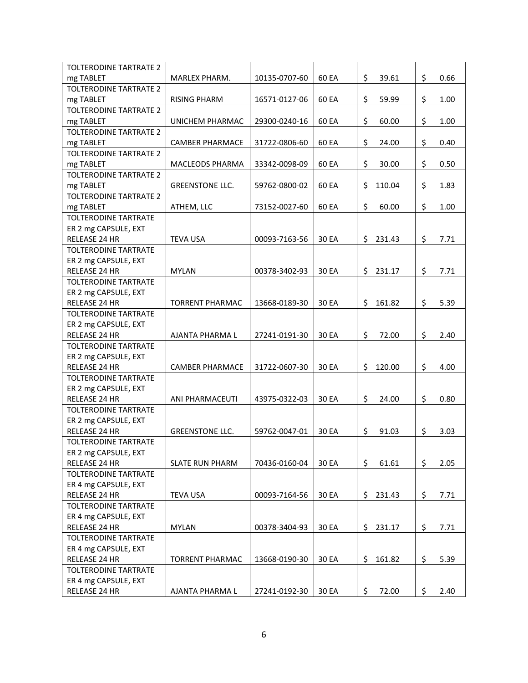| TOLTERODINE TARTRATE 2        |                        |               |       |              |            |
|-------------------------------|------------------------|---------------|-------|--------------|------------|
| mg TABLET                     | MARLEX PHARM.          | 10135-0707-60 | 60 EA | \$<br>39.61  | \$<br>0.66 |
| <b>TOLTERODINE TARTRATE 2</b> |                        |               |       |              |            |
| mg TABLET                     | <b>RISING PHARM</b>    | 16571-0127-06 | 60 EA | \$<br>59.99  | \$<br>1.00 |
| TOLTERODINE TARTRATE 2        |                        |               |       |              |            |
| mg TABLET                     | <b>UNICHEM PHARMAC</b> | 29300-0240-16 | 60 EA | \$<br>60.00  | \$<br>1.00 |
| <b>TOLTERODINE TARTRATE 2</b> |                        |               |       |              |            |
| mg TABLET                     | <b>CAMBER PHARMACE</b> | 31722-0806-60 | 60 EA | \$<br>24.00  | \$<br>0.40 |
| <b>TOLTERODINE TARTRATE 2</b> |                        |               |       |              |            |
| mg TABLET                     | <b>MACLEODS PHARMA</b> | 33342-0098-09 | 60 EA | \$<br>30.00  | \$<br>0.50 |
| <b>TOLTERODINE TARTRATE 2</b> |                        |               |       |              |            |
| mg TABLET                     | <b>GREENSTONE LLC.</b> | 59762-0800-02 | 60 EA | \$<br>110.04 | \$<br>1.83 |
| <b>TOLTERODINE TARTRATE 2</b> |                        |               |       |              |            |
| mg TABLET                     | ATHEM, LLC             | 73152-0027-60 | 60 EA | \$<br>60.00  | \$<br>1.00 |
| <b>TOLTERODINE TARTRATE</b>   |                        |               |       |              |            |
| ER 2 mg CAPSULE, EXT          |                        |               |       |              |            |
| RELEASE 24 HR                 | <b>TEVA USA</b>        | 00093-7163-56 | 30 EA | \$<br>231.43 | \$<br>7.71 |
| <b>TOLTERODINE TARTRATE</b>   |                        |               |       |              |            |
| ER 2 mg CAPSULE, EXT          |                        |               |       |              |            |
| RELEASE 24 HR                 | <b>MYLAN</b>           | 00378-3402-93 | 30 EA | \$231.17     | \$<br>7.71 |
| <b>TOLTERODINE TARTRATE</b>   |                        |               |       |              |            |
| ER 2 mg CAPSULE, EXT          |                        |               |       |              |            |
| RELEASE 24 HR                 | <b>TORRENT PHARMAC</b> | 13668-0189-30 | 30 EA | \$<br>161.82 | \$<br>5.39 |
| <b>TOLTERODINE TARTRATE</b>   |                        |               |       |              |            |
| ER 2 mg CAPSULE, EXT          |                        |               |       |              |            |
| RELEASE 24 HR                 | AJANTA PHARMA L        | 27241-0191-30 | 30 EA | \$<br>72.00  | \$<br>2.40 |
| <b>TOLTERODINE TARTRATE</b>   |                        |               |       |              |            |
| ER 2 mg CAPSULE, EXT          |                        |               |       |              |            |
| <b>RELEASE 24 HR</b>          | <b>CAMBER PHARMACE</b> | 31722-0607-30 | 30 EA | \$120.00     | \$<br>4.00 |
| <b>TOLTERODINE TARTRATE</b>   |                        |               |       |              |            |
| ER 2 mg CAPSULE, EXT          |                        |               |       |              |            |
| <b>RELEASE 24 HR</b>          | ANI PHARMACEUTI        | 43975-0322-03 | 30 EA | \$<br>24.00  | \$<br>0.80 |
| <b>TOLTERODINE TARTRATE</b>   |                        |               |       |              |            |
| ER 2 mg CAPSULE, EXT          |                        |               |       |              |            |
| RELEASE 24 HR                 | <b>GREENSTONE LLC.</b> | 59762-0047-01 | 30 EA | \$<br>91.03  | \$<br>3.03 |
| TOLTERODINE TARTRATE          |                        |               |       |              |            |
| ER 2 mg CAPSULE, EXT          |                        |               |       |              |            |
| RELEASE 24 HR                 | <b>SLATE RUN PHARM</b> | 70436-0160-04 | 30 EA | \$<br>61.61  | \$<br>2.05 |
| <b>TOLTERODINE TARTRATE</b>   |                        |               |       |              |            |
| ER 4 mg CAPSULE, EXT          |                        |               |       |              |            |
| RELEASE 24 HR                 | <b>TEVA USA</b>        | 00093-7164-56 | 30 EA | \$<br>231.43 | \$<br>7.71 |
| <b>TOLTERODINE TARTRATE</b>   |                        |               |       |              |            |
| ER 4 mg CAPSULE, EXT          |                        |               |       |              |            |
| RELEASE 24 HR                 | <b>MYLAN</b>           | 00378-3404-93 | 30 EA | \$231.17     | \$<br>7.71 |
| TOLTERODINE TARTRATE          |                        |               |       |              |            |
| ER 4 mg CAPSULE, EXT          |                        |               |       |              |            |
| RELEASE 24 HR                 | <b>TORRENT PHARMAC</b> | 13668-0190-30 | 30 EA | \$<br>161.82 | \$<br>5.39 |
| TOLTERODINE TARTRATE          |                        |               |       |              |            |
| ER 4 mg CAPSULE, EXT          |                        |               |       |              |            |
| RELEASE 24 HR                 | AJANTA PHARMA L        | 27241-0192-30 | 30 EA | \$<br>72.00  | \$<br>2.40 |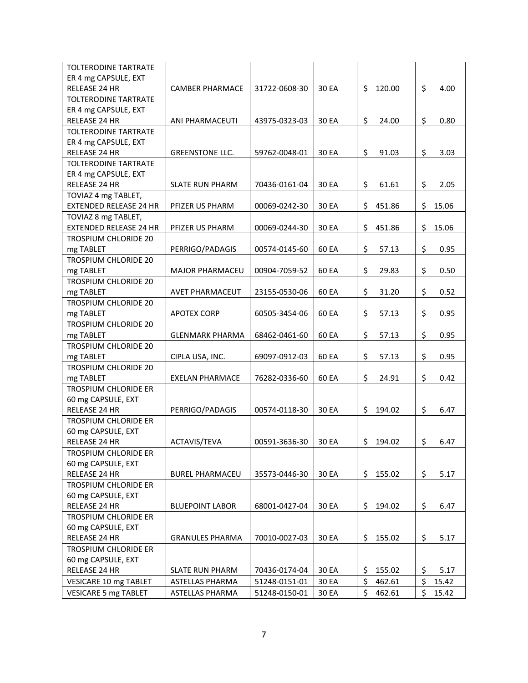| TOLTERODINE TARTRATE                         |                        |               |       |              |             |
|----------------------------------------------|------------------------|---------------|-------|--------------|-------------|
| ER 4 mg CAPSULE, EXT                         |                        |               |       |              |             |
| <b>RELEASE 24 HR</b>                         | <b>CAMBER PHARMACE</b> | 31722-0608-30 | 30 EA | \$<br>120.00 | \$<br>4.00  |
| <b>TOLTERODINE TARTRATE</b>                  |                        |               |       |              |             |
| ER 4 mg CAPSULE, EXT                         |                        |               |       |              |             |
| <b>RELEASE 24 HR</b>                         | ANI PHARMACEUTI        | 43975-0323-03 | 30 EA | \$<br>24.00  | \$<br>0.80  |
| <b>TOLTERODINE TARTRATE</b>                  |                        |               |       |              |             |
| ER 4 mg CAPSULE, EXT                         |                        |               |       |              |             |
| <b>RELEASE 24 HR</b>                         | <b>GREENSTONE LLC.</b> | 59762-0048-01 | 30 EA | \$<br>91.03  | \$<br>3.03  |
| TOLTERODINE TARTRATE                         |                        |               |       |              |             |
| ER 4 mg CAPSULE, EXT                         |                        |               |       |              |             |
| RELEASE 24 HR                                | <b>SLATE RUN PHARM</b> | 70436-0161-04 | 30 EA | \$<br>61.61  | \$<br>2.05  |
| TOVIAZ 4 mg TABLET,                          |                        |               |       |              |             |
| <b>EXTENDED RELEASE 24 HR</b>                | PFIZER US PHARM        | 00069-0242-30 | 30 EA | \$<br>451.86 | \$<br>15.06 |
| TOVIAZ 8 mg TABLET,                          |                        |               |       |              |             |
| <b>EXTENDED RELEASE 24 HR</b>                | PFIZER US PHARM        | 00069-0244-30 | 30 EA | \$<br>451.86 | \$<br>15.06 |
| <b>TROSPIUM CHLORIDE 20</b>                  |                        |               |       |              |             |
| mg TABLET                                    | PERRIGO/PADAGIS        | 00574-0145-60 | 60 EA | \$<br>57.13  | \$<br>0.95  |
| <b>TROSPIUM CHLORIDE 20</b>                  |                        |               |       |              |             |
| mg TABLET                                    | <b>MAJOR PHARMACEU</b> | 00904-7059-52 | 60 EA | \$<br>29.83  | \$<br>0.50  |
| TROSPIUM CHLORIDE 20                         |                        |               |       |              |             |
| mg TABLET                                    | AVET PHARMACEUT        | 23155-0530-06 | 60 EA | \$<br>31.20  | \$<br>0.52  |
| TROSPIUM CHLORIDE 20                         |                        |               |       |              |             |
| mg TABLET                                    | <b>APOTEX CORP</b>     | 60505-3454-06 | 60 EA | \$<br>57.13  | \$<br>0.95  |
| TROSPIUM CHLORIDE 20                         |                        |               |       |              |             |
| mg TABLET                                    | <b>GLENMARK PHARMA</b> | 68462-0461-60 | 60 EA | \$<br>57.13  | \$<br>0.95  |
| TROSPIUM CHLORIDE 20                         |                        |               |       |              |             |
| mg TABLET                                    | CIPLA USA, INC.        | 69097-0912-03 | 60 EA | \$<br>57.13  | \$<br>0.95  |
| TROSPIUM CHLORIDE 20                         |                        |               |       |              |             |
| mg TABLET                                    | <b>EXELAN PHARMACE</b> | 76282-0336-60 | 60 EA | \$<br>24.91  | \$<br>0.42  |
| <b>TROSPIUM CHLORIDE ER</b>                  |                        |               |       |              |             |
| 60 mg CAPSULE, EXT                           |                        |               |       |              |             |
| RELEASE 24 HR                                | PERRIGO/PADAGIS        | 00574-0118-30 | 30 EA | \$<br>194.02 | \$<br>6.47  |
| <b>TROSPIUM CHLORIDE ER</b>                  |                        |               |       |              |             |
| 60 mg CAPSULE, EXT                           |                        |               |       |              |             |
| RELEASE 24 HR                                | ACTAVIS/TEVA           | 00591-3636-30 | 30 EA | \$194.02     | \$<br>6.47  |
| <b>TROSPIUM CHLORIDE ER</b>                  |                        |               |       |              |             |
| 60 mg CAPSULE, EXT                           |                        |               |       |              |             |
| RELEASE 24 HR                                | <b>BUREL PHARMACEU</b> | 35573-0446-30 | 30 EA | \$<br>155.02 | \$<br>5.17  |
| <b>TROSPIUM CHLORIDE ER</b>                  |                        |               |       |              |             |
| 60 mg CAPSULE, EXT                           |                        |               |       |              |             |
| RELEASE 24 HR                                | <b>BLUEPOINT LABOR</b> | 68001-0427-04 | 30 EA | \$194.02     | \$<br>6.47  |
| <b>TROSPIUM CHLORIDE ER</b>                  |                        |               |       |              |             |
| 60 mg CAPSULE, EXT                           |                        |               |       |              |             |
| RELEASE 24 HR<br><b>TROSPIUM CHLORIDE ER</b> | <b>GRANULES PHARMA</b> | 70010-0027-03 | 30 EA | \$<br>155.02 | \$<br>5.17  |
| 60 mg CAPSULE, EXT                           |                        |               |       |              |             |
| RELEASE 24 HR                                | SLATE RUN PHARM        | 70436-0174-04 | 30 EA | \$<br>155.02 | 5.17<br>\$  |
|                                              | ASTELLAS PHARMA        |               | 30 EA | \$<br>462.61 | \$          |
| VESICARE 10 mg TABLET                        |                        | 51248-0151-01 |       |              | 15.42       |
| <b>VESICARE 5 mg TABLET</b>                  | ASTELLAS PHARMA        | 51248-0150-01 | 30 EA | \$<br>462.61 | \$<br>15.42 |